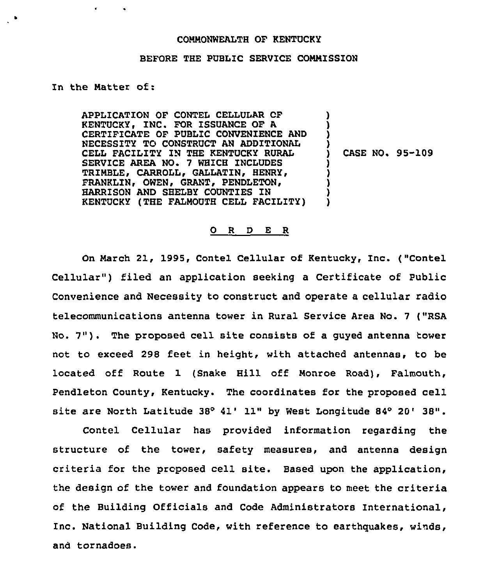## COMMONWEALTH OF KENTUCKY

## BEFORE THE PUBLIC SERVICE COMMISSION

## In the Matter of:

 $\mathbf{r}$ 

APPLICATION OF CONTEL CELLULAR CF KENTUCKY, INC. FOR ISSUANCE OF A CERTIFICATE OF PUBLIC CONVENIENCE AND NECESSITY TO CONSTRUCT AN ADDITIONAL CELL FACILITY IN THE KENTUCKY RURAL SERVICE AREA NO. 7 WHICH INCLUDES TRIMBLE, CARROLL, GALLATIN, HENRY, FRANKLIN, OWEN, GRANT, PENDLETON, AND SHELBY COUNTIES IN KENTUCKY (THE FALMOUTH CELL FACILITY) ) ) ) ) ) ) ) ) )

) CASE NO. 95-109

## 0 R <sup>D</sup> E R

On March 21, 1995, Contel Cellular of Kentucky, Inc. ("Contel Cellular") filed an application seeking a Certificate of Public Convenience and Necessity to construct and operate a cellular radio telecommunications antenna tower in Rural Service Area No. 7 ("RSA No. 7"). The proposed cell site consists of <sup>a</sup> guyed antenna tower not to exceed 298 feet in height, with attached antennas, to be located off Route 1 (snake Hill off Monroe Road), Falmouth, Pendleton County, Kentucky. The coordinates for the proposed cell site are North Latitude  $38^{\circ}$  41' 11" by West Longitude  $84^{\circ}$  20' 38".

Contel Cellular has provided information regarding the structure of the tower, safety measures, and antenna design criteria for the prcposed cell site. Based upon the application, the design of the tower and foundation appears to meet the criteria of the Building Officials and Code Administrators International, Inc. National Building Code, with reference to earthquakes, winds, and tornadoes.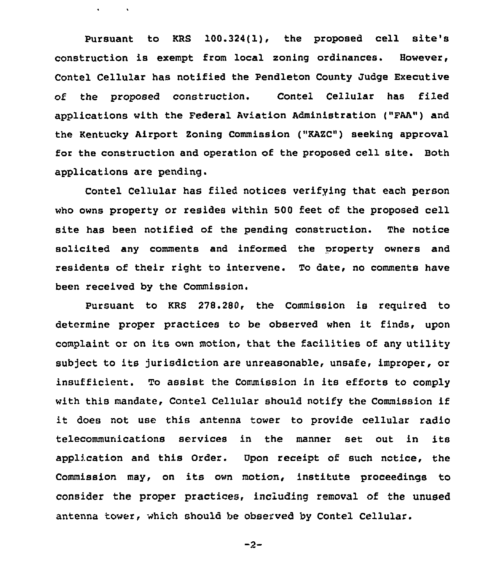Pursuant to KRS 100.324(1), the proposed cell site's construction is exempt from local zoning ordinances. However, Contel Cellular has notified the Pendleton County Judge Executive of the proposed construction. Contel Cellular has filed applications with the Federal Aviation Administration ("FAA") and the Kentucky Airport Zoning Commission ("KAZC") seeking approval for the construction and operation of the proposed cell site. Both applications are pending.

 $\bullet$  . <br> <br> <br> <br> <br> <br> <br> <br> <br><br><br><br><br>

Contel Cellular has filed notices verifying that each person who owns property or resides within 500 feet of the proposed cell site has been notified of the pending construction. The notice solicited any comments and informed the nroperty owners and residents of their right to intervene. To date, no comments have been received by the Commission.

Pursuant to KRS 278.280, the Commission is required to determine proper practices to be observed when it finds, upon complaint or on its own motion, that the facilities of any utility subject to its jurisdiction are unreasonable, unsafe, improper, or insufficient. To assist the Commission in its efforts to comply with this mandate, Contel Cellular should notify the Commission if it does not use this antenna tower to provide cellular radio telecommunications services in the manner set out in its application and this Order. Upon receipt of such notice, the Commission may, on its own motion, institute proceedings to consider the proper practices, including removal of the unused antenna tower, which should be observed by Contel Cellular.

$$
-2-
$$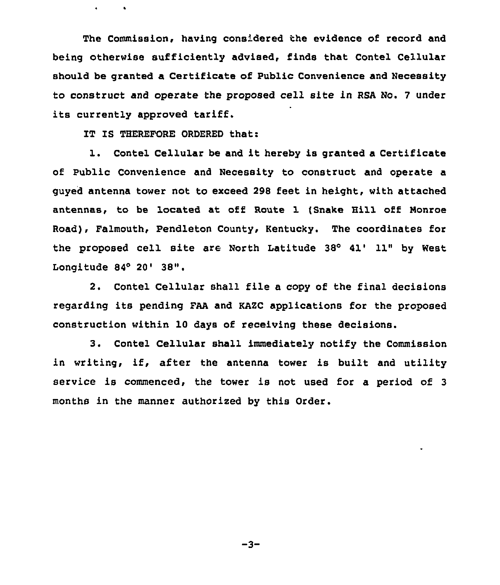The Commission, having cons'dered the evidence of record and being otherwise sufficiently advised, finds that Contel Cellular should be granted a Certificate of Public Convenience and Necessity to construct and operate the proposed cell site in RSA No. <sup>7</sup> under its currently approved tariff.

IT IS THEREFORE ORDERED that:

1. Contel Cellular be and it hereby is granted <sup>a</sup> Certificate of Public Convenience and Necessity to construct and operate a guyed antenna tower not to exceed 298 feet in height, with attached antennas, to be located at off Route 1 (Snake Hill off Monroe Road), Falmouth, Pendleton County, Kentucky. The coordinates for the proposed cell site are North Latitude 38° 41' ll" by West Longitude 84° 20' 38".

2. Contel Cellular shall file a copy of the final decisions regarding its pending FAA and KAZC applications for the proposed construction within 10 days of receiving these decisions.

3. Contel Cellular shall immediately notify the Commission in writing, if, after the antenna tower is built and utility service is commenced, the tower is not used for a period of 3 months in the manner authorized by this Order.

 $-3-$